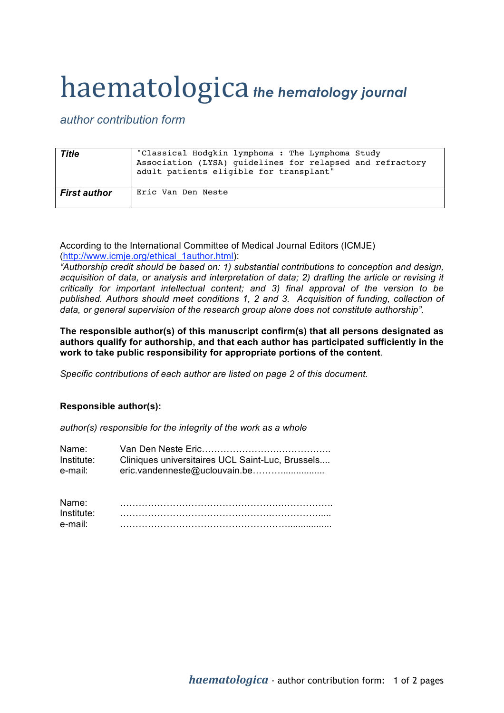## haematologica *the hematology journal*

*author contribution form*

| <b>Title</b>        | "Classical Hodgkin lymphoma : The Lymphoma Study<br>Association (LYSA) quidelines for relapsed and refractory<br>adult patients eligible for transplant" |
|---------------------|----------------------------------------------------------------------------------------------------------------------------------------------------------|
| <b>First author</b> | Eric Van Den Neste                                                                                                                                       |

According to the International Committee of Medical Journal Editors (ICMJE) (http://www.icmje.org/ethical\_1author.html):

*"Authorship credit should be based on: 1) substantial contributions to conception and design, acquisition of data, or analysis and interpretation of data; 2) drafting the article or revising it critically for important intellectual content; and 3) final approval of the version to be published. Authors should meet conditions 1, 2 and 3. Acquisition of funding, collection of data, or general supervision of the research group alone does not constitute authorship".*

**The responsible author(s) of this manuscript confirm(s) that all persons designated as authors qualify for authorship, and that each author has participated sufficiently in the work to take public responsibility for appropriate portions of the content**.

*Specific contributions of each author are listed on page 2 of this document.*

## **Responsible author(s):**

*author(s) responsible for the integrity of the work as a whole*

| Name:      |                                                  |
|------------|--------------------------------------------------|
| Institute: | Cliniques universitaires UCL Saint-Luc, Brussels |
| e-mail:    |                                                  |

| Name:      |  |
|------------|--|
| Institute: |  |
| e-mail:    |  |